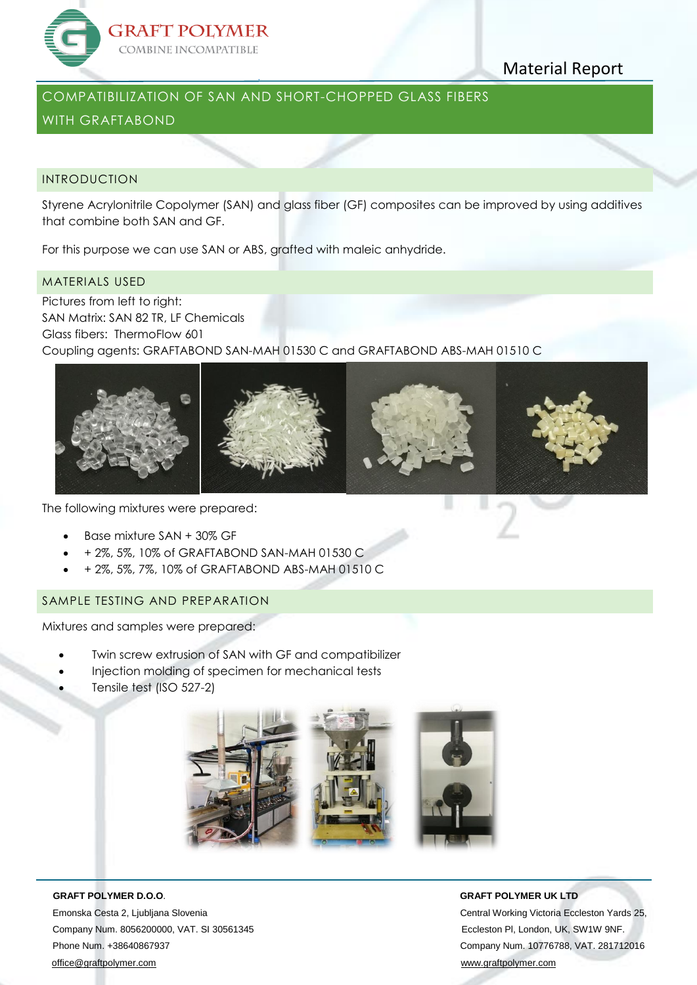

# Material Report

## COMPATIBILIZATION OF SAN AND SHORT-CHOPPED GLASS FIBERS

# WITH GRAFTABOND

### INTRODUCTION

Styrene Acrylonitrile Copolymer (SAN) and glass fiber (GF) composites can be improved by using additives that combine both SAN and GF.

For this purpose we can use SAN or ABS, grafted with maleic anhydride.

### MATERIALS USED

Pictures from left to right: SAN Matrix: SAN 82 TR, LF Chemicals Glass fibers: ThermoFlow 601 Coupling agents: GRAFTABOND SAN-MAH 01530 C and GRAFTABOND ABS-MAH 01510 C



The following mixtures were prepared:

- Base mixture SAN + 30% GF
- + 2%, 5%, 10% of GRAFTABOND SAN-MAH 01530 C
- + 2%, 5%, 7%, 10% of GRAFTABOND ABS-MAH 01510 C

## SAMPLE TESTING AND PREPARATION

Mixtures and samples were prepared:

- Twin screw extrusion of SAN with GF and compatibilizer
- Injection molding of specimen for mechanical tests
- Tensile test (ISO 527-2)



Emonska Cesta 2, Ljubljana Slovenia Central Working Victoria Eccleston Yards 25, Company Num. 8056200000, VAT. SI 30561345 Eccleston Pl, London, UK, SW1W 9NF. Phone Num. +38640867937 Company Num. 10776788, VAT. 281712016 [office@graftpolymer.com](mailto:office@graftpolymer.com) [www.graftpolymer.com](http://www.graftpolymer.com/)

### **GRAFT POLYMER D.O.O**. **GRAFT POLYMER UK LTD**